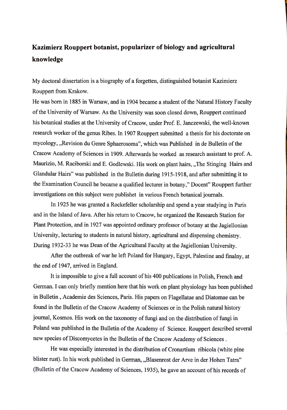## **Kazimierz Rouppert botanist, popularizer of biology and agricultural knowledge**

My doctora! dissertation is a biography of a forgetten, distinguished botanist Kazimierz Rouppert from Krakow.

He was bom in 1885 in Warsaw, and in 1904 became a student of the Natural History Faculty of the University of Warsaw. As the University was soon closed down, Rouppert continued his botanical studies at the University of Cracow, under Prof. E. Janczewski, the well-known research worker of the genus Ribes. In 1907 Rouppert submitted a thesis for his doctorate on mycology, ,,Revision du Genre Sphaerosoma", which was Published in de Bulletin of the Cracow Academy of Sciences in 1909. Afterwards he worked as research assistant to prof. A. Maurizio, M. Raciborski and E. Godlewski. His work on plant hairs, ,,The Stinging Hairs and Glandular Hairs" was published in the Bulletin during 1915-1918, and after submitting it to the Examination Council he became a qualified lecturer in botany," Docent" Rouppert further investigations on this subject were publishet in various French botanical joumals.

In 1925 he was granted a Rockefeller scholarship and spend a year studying in Paris and in the Island of Java. After his return to Cracow, he organized the Research Station for Plant Protection, and in 1927 was appointed ordinary professor of botany at the Jagiellonian University, lecturing to students in natural history, agricultural and dispensing chemistry. During 1932-33 he was Dean of the Agricultural Faculty at the Jagiellonian University.

After the outbreak of war he left Poland for Hungary, Egypt, Palestine and finalny, at the end of 1947, arrived in England.

lt is impossible to give a full account of his 400 publications in Polish, French and German. I can only briefly mention here that his work on plant physiology has been published in Bulletin , Academie des Sciences, Paris. His papers on Flagellatae and Diatomae can be found in the Bulletin of the Cracow Academy of Sciences or in the Polish natural history joumal, Kosmos. His work on the taxonomy of fungi and on the distribution of fungi in Poland was published in the Bulletin of the Academy of Science. Rouppert described several new species of Discomycetes in the Bulletin of the Cracow Academy of Sciences.

He was especially interested in the distribution of Cronartium ribicola (white pine blister rust). In his work published in German, ,,Blasenrost der Arve in der Hohen Tatra" (Bulletin of the Cracow Academy of Sciences, 1935), he gave an account of his records of